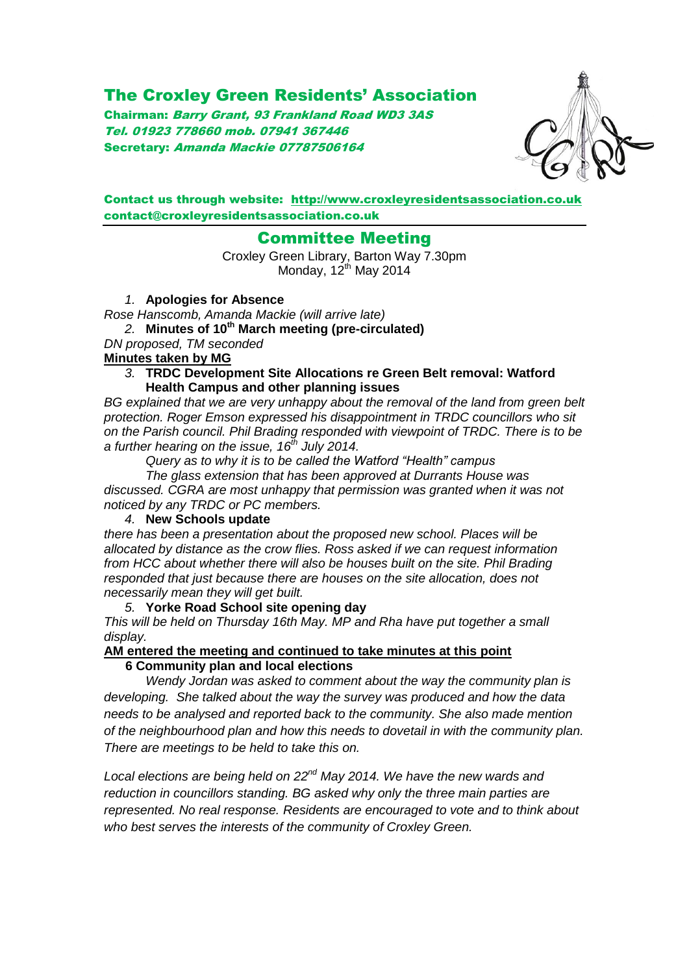# The Croxley Green Residents' Association

Chairman: Barry Grant, 93 Frankland Road WD3 3AS Tel. 01923 778660 mob. 07941 367446 Secretary: Amanda Mackie 07787506164



#### Contact us through website: [http://www.croxleyresidentsassociation.co.uk](http://www.croxleyresidentsassociation.co.uk/) contact@croxleyresidentsassociation.co.uk

## Committee Meeting

Croxley Green Library, Barton Way 7.30pm Monday,  $12^{th}$  May 2014

*1.* **Apologies for Absence**

*Rose Hanscomb, Amanda Mackie (will arrive late)*

*2.* **Minutes of 10th March meeting (pre-circulated)**

*DN proposed, TM seconded*

## **Minutes taken by MG**

*3.* **TRDC Development Site Allocations re Green Belt removal: Watford Health Campus and other planning issues**

*BG explained that we are very unhappy about the removal of the land from green belt protection. Roger Emson expressed his disappointment in TRDC councillors who sit on the Parish council. Phil Brading responded with viewpoint of TRDC. There is to be a further hearing on the issue, 16th July 2014.* 

*Query as to why it is to be called the Watford "Health" campus*

*The glass extension that has been approved at Durrants House was discussed. CGRA are most unhappy that permission was granted when it was not noticed by any TRDC or PC members.* 

#### *4.* **New Schools update**

*there has been a presentation about the proposed new school. Places will be allocated by distance as the crow flies. Ross asked if we can request information from HCC about whether there will also be houses built on the site. Phil Brading responded that just because there are houses on the site allocation, does not necessarily mean they will get built.* 

*5.* **Yorke Road School site opening day** *This will be held on Thursday 16th May. MP and Rha have put together a small display.* 

#### **AM entered the meeting and continued to take minutes at this point 6 Community plan and local elections**

*Wendy Jordan was asked to comment about the way the community plan is developing. She talked about the way the survey was produced and how the data needs to be analysed and reported back to the community. She also made mention of the neighbourhood plan and how this needs to dovetail in with the community plan. There are meetings to be held to take this on.* 

*Local elections are being held on 22nd May 2014. We have the new wards and reduction in councillors standing. BG asked why only the three main parties are represented. No real response. Residents are encouraged to vote and to think about who best serves the interests of the community of Croxley Green.*